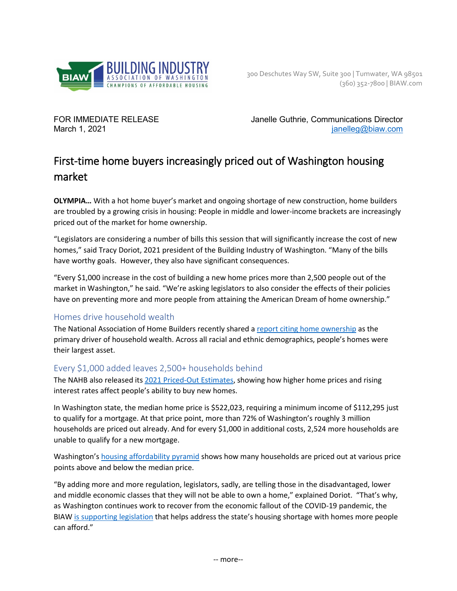

FOR IMMEDIATE RELEASE Janelle Guthrie, Communications Director March 1, 2021 **[janelleg@biaw.com](mailto:janelleg@biaw.com)** 

# First-time home buyers increasingly priced out of Washington housing market

**OLYMPIA…** With a hot home buyer's market and ongoing shortage of new construction, home builders are troubled by a growing crisis in housing: People in middle and lower-income brackets are increasingly priced out of the market for home ownership.

"Legislators are considering a number of bills this session that will significantly increase the cost of new homes," said Tracy Doriot, 2021 president of the Building Industry of Washington. "Many of the bills have worthy goals. However, they also have significant consequences.

"Every \$1,000 increase in the cost of building a new home prices more than 2,500 people out of the market in Washington," he said. "We're asking legislators to also consider the effects of their policies have on preventing more and more people from attaining the American Dream of home ownership."

## Homes drive household wealth

The National Association of Home Builders recently shared a [report citing home ownership](https://nahbnow.com/2021/02/homeownership-remains-primary-driver-of-household-wealth/?_ga=2.165732472.758021629.1614271282-520929167.1608053967) as the primary driver of household wealth. Across all racial and ethnic demographics, people's homes were their largest asset.

## Every \$1,000 added leaves 2,500+ households behind

The NAHB also released its [2021 Priced-Out Estimates,](https://www.nahb.org/-/media/BEB45F8305C44CF8B2D0F3DC7B451658.ashx) showing how higher home prices and rising interest rates affect people's ability to buy new homes.

In Washington state, the median home price is \$522,023, requiring a minimum income of \$112,295 just to qualify for a mortgage. At that price point, more than 72% of Washington's roughly 3 million households are priced out already. And for every \$1,000 in additional costs, 2,524 more households are unable to qualify for a new mortgage.

Washington'[s housing affordability pyramid](https://www.biaw.com/wp-content/uploads/2021/03/Affordability-Pyramid-WA_2021.pdf) shows how many households are priced out at various price points above and below the median price.

"By adding more and more regulation, legislators, sadly, are telling those in the disadvantaged, lower and middle economic classes that they will not be able to own a home," explained Doriot. "That's why, as Washington continues work to recover from the economic fallout of the COVID-19 pandemic, the BIAW [is supporting](https://www.biaw.com/wp-content/uploads/2020/04/2021-BIAW-Priorities-Final.pdf) legislation that helps address the state's housing shortage with homes more people can afford."